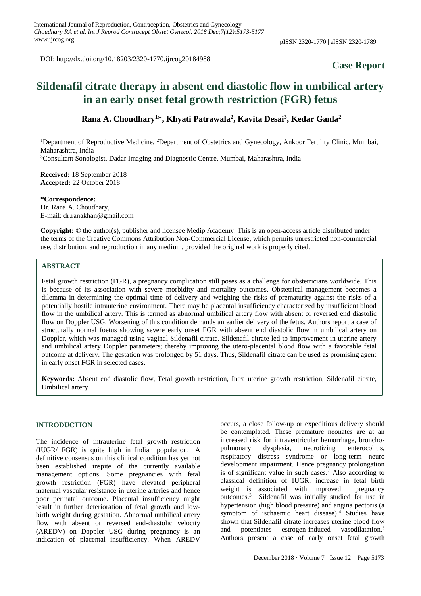DOI: http://dx.doi.org/10.18203/2320-1770.ijrcog20184988

# **Case Report**

# **Sildenafil citrate therapy in absent end diastolic flow in umbilical artery in an early onset fetal growth restriction (FGR) fetus**

**Rana A. Choudhary<sup>1</sup>\*, Khyati Patrawala<sup>2</sup> , Kavita Desai<sup>3</sup> , Kedar Ganla<sup>2</sup>**

<sup>1</sup>Department of Reproductive Medicine, <sup>2</sup>Department of Obstetrics and Gynecology, Ankoor Fertility Clinic, Mumbai, Maharashtra, India

<sup>3</sup>Consultant Sonologist, Dadar Imaging and Diagnostic Centre, Mumbai, Maharashtra, India

**Received:** 18 September 2018 **Accepted:** 22 October 2018

**\*Correspondence:** Dr. Rana A. Choudhary, E-mail: dr.ranakhan@gmail.com

**Copyright:** © the author(s), publisher and licensee Medip Academy. This is an open-access article distributed under the terms of the Creative Commons Attribution Non-Commercial License, which permits unrestricted non-commercial use, distribution, and reproduction in any medium, provided the original work is properly cited.

### **ABSTRACT**

Fetal growth restriction (FGR), a pregnancy complication still poses as a challenge for obstetricians worldwide. This is because of its association with severe morbidity and mortality outcomes. Obstetrical management becomes a dilemma in determining the optimal time of delivery and weighing the risks of prematurity against the risks of a potentially hostile intrauterine environment. There may be placental insufficiency characterized by insufficient blood flow in the umbilical artery. This is termed as abnormal umbilical artery flow with absent or reversed end diastolic flow on Doppler USG. Worsening of this condition demands an earlier delivery of the fetus. Authors report a case of structurally normal foetus showing severe early onset FGR with absent end diastolic flow in umbilical artery on Doppler, which was managed using vaginal Sildenafil citrate. Sildenafil citrate led to improvement in uterine artery and umbilical artery Doppler parameters; thereby improving the utero-placental blood flow with a favorable fetal outcome at delivery. The gestation was prolonged by 51 days. Thus, Sildenafil citrate can be used as promising agent in early onset FGR in selected cases.

**Keywords:** Absent end diastolic flow, Fetal growth restriction, Intra uterine growth restriction, Sildenafil citrate, Umbilical artery

#### **INTRODUCTION**

The incidence of intrauterine fetal growth restriction (IUGR/ FGR) is quite high in Indian population. <sup>1</sup> A definitive consensus on this clinical condition has yet not been established inspite of the currently available management options. Some pregnancies with fetal growth restriction (FGR) have elevated peripheral maternal vascular resistance in uterine arteries and hence poor perinatal outcome. Placental insufficiency might result in further deterioration of fetal growth and lowbirth weight during gestation. Abnormal umbilical artery flow with absent or reversed end-diastolic velocity (AREDV) on Doppler USG during pregnancy is an indication of placental insufficiency. When AREDV

occurs, a close follow-up or expeditious delivery should be contemplated. These premature neonates are at an increased risk for intraventricular hemorrhage, bronchopulmonary dysplasia, necrotizing enterocolitis, respiratory distress syndrome or long-term neuro development impairment. Hence pregnancy prolongation is of significant value in such cases. <sup>2</sup> Also according to classical definition of IUGR, increase in fetal birth weight is associated with improved pregnancy outcomes. 3 Sildenafil was initially studied for use in hypertension (high blood pressure) and angina pectoris (a symptom of ischaemic heart disease). <sup>4</sup> Studies have shown that Sildenafil citrate increases uterine blood flow and potentiates estrogen-induced 5 Authors present a case of early onset fetal growth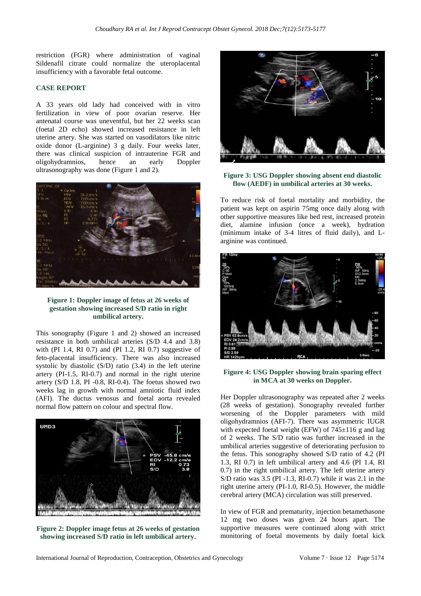restriction (FGR) where administration of vaginal Sildenafil citrate could normalize the uteroplacental insufficiency with a favorable fetal outcome.

### **CASE REPORT**

A 33 years old lady had conceived with in vitro fertilization in view of poor ovarian reserve. Her antenatal course was uneventful, but her 22 weeks scan (foetal 2D echo) showed increased resistance in left uterine artery. She was started on vasodilators like nitric oxide donor (L-arginine) 3 g daily. Four weeks later, there was clinical suspicion of intrauterine FGR and oligohydramnios, hence an early Doppler ultrasonography was done (Figure 1 and 2).



**Figure 1: Doppler image of fetus at 26 weeks of gestation showing increased S/D ratio in right umbilical artery.**

This sonography (Figure 1 and 2) showed an increased resistance in both umbilical arteries (S/D 4.4 and 3.8) with (PI 1.4, RI 0.7) and (PI 1.2, RI 0.7) suggestive of feto-placental insufficiency. There was also increased systolic by diastolic (S/D) ratio (3.4) in the left uterine artery (PI-1.5, RI-0.7) and normal in the right uterine artery (S/D 1.8, PI -0.8, RI-0.4). The foetus showed two weeks lag in growth with normal amniotic fluid index (AFI). The ductus venosus and foetal aorta revealed normal flow pattern on colour and spectral flow.



**Figure 2: Doppler image fetus at 26 weeks of gestation showing increased S/D ratio in left umbilical artery.**



#### **Figure 3: USG Doppler showing absent end diastolic flow (AEDF) in umbilical arteries at 30 weeks.**

To reduce risk of foetal mortality and morbidity, the patient was kept on aspirin 75mg once daily along with other supportive measures like bed rest, increased protein diet, alamine infusion (once a week), hydration (minimum intake of 3-4 litres of fluid daily), and Larginine was continued.



**Figure 4: USG Doppler showing brain sparing effect in MCA at 30 weeks on Doppler.**

Her Doppler ultrasonography was repeated after 2 weeks (28 weeks of gestation). Sonography revealed further worsening of the Doppler parameters with mild oligohydramnios (AFI-7). There was asymmetric IUGR with expected foetal weight (EFW) of 745±116 g and lag of 2 weeks. The S/D ratio was further increased in the umbilical arteries suggestive of deteriorating perfusion to the fetus. This sonography showed S/D ratio of 4.2 (PI 1.3, RI 0.7) in left umbilical artery and 4.6 (PI 1.4, RI 0.7) in the right umbilical artery. The left uterine artery S/D ratio was 3.5 (PI -1.3, RI-0.7) while it was 2.1 in the right uterine artery (PI-1.0, RI-0.5). However, the middle cerebral artery (MCA) circulation was still preserved.

In view of FGR and prematurity, injection betamethasone 12 mg two doses was given 24 hours apart. The supportive measures were continued along with strict monitoring of foetal movements by daily foetal kick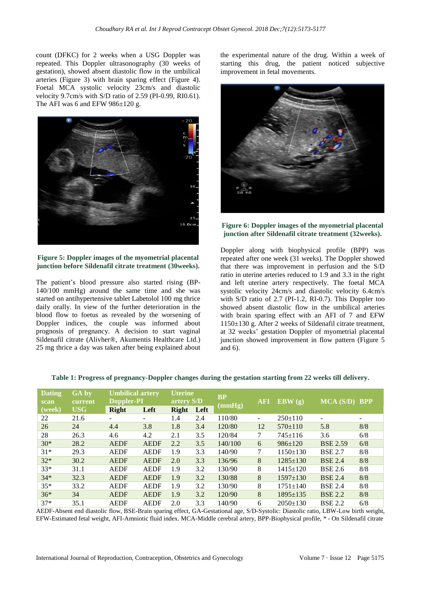count (DFKC) for 2 weeks when a USG Doppler was repeated. This Doppler ultrasonography (30 weeks of gestation), showed absent diastolic flow in the umbilical arteries (Figure 3) with brain sparing effect (Figure 4). Foetal MCA systolic velocity 23cm/s and diastolic velocity 9.7cm/s with S/D ratio of 2.59 (PI-0.99, RI0.61). The AFI was 6 and EFW 986±120 g.



**Figure 5: Doppler images of the myometrial placental junction before Sildenafil citrate treatment (30weeks).**

The patient's blood pressure also started rising (BP-140/100 mmHg) around the same time and she was started on antihypertensive tablet Labetolol 100 mg thrice daily orally. In view of the further deterioration in the blood flow to foetus as revealed by the worsening of Doppler indices, the couple was informed about prognosis of pregnancy. A decision to start vaginal Sildenafil citrate (Alivher®, Akumentis Healthcare Ltd.) 25 mg thrice a day was taken after being explained about the experimental nature of the drug. Within a week of starting this drug, the patient noticed subjective improvement in fetal movements.



**Figure 6: Doppler images of the myometrial placental junction after Sildenafil citrate treatment (32weeks).**

Doppler along with biophysical profile (BPP) was repeated after one week (31 weeks). The Doppler showed that there was improvement in perfusion and the S/D ratio in uterine arteries reduced to 1.9 and 3.3 in the right and left uterine artery respectively. The foetal MCA systolic velocity 24cm/s and diastolic velocity 6.4cm/s with S/D ratio of 2.7 (PI-1.2, RI-0.7). This Doppler too showed absent diastolic flow in the umbilical arteries with brain sparing effect with an AFI of 7 and EFW 1150±130 g. After 2 weeks of Sildenafil citrate treatment, at 32 weeks' gestation Doppler of myometrial placental junction showed improvement in flow pattern (Figure 5 and 6).

| <b>Dating</b><br>scan | GA by<br>current | <b>Umbilical artery</b><br>Doppler-PI |             | <b>Uterine</b><br>artery S/D |      | <b>BP</b><br>(mmHg) | <b>AFI</b> | EBW(g)         | MCA (S/D) BPP   |     |
|-----------------------|------------------|---------------------------------------|-------------|------------------------------|------|---------------------|------------|----------------|-----------------|-----|
| $($ wee $k)$          | <b>USG</b>       | <b>Right</b>                          | Left        | Right                        | Left |                     |            |                |                 |     |
| 22                    | 21.6             | -                                     | -           | 1.4                          | 2.4  | 110/80              |            | $250 \pm 110$  | -               | -   |
| 26                    | 24               | 4.4                                   | 3.8         | 1.8                          | 3.4  | 120/80              | 12         | $570 \pm 110$  | 5.8             | 8/8 |
| 28                    | 26.3             | 4.6                                   | 4.2         | 2.1                          | 3.5  | 120/84              | $\tau$     | $745 \pm 116$  | 3.6             | 6/8 |
| $30*$                 | 28.2             | <b>AEDF</b>                           | <b>AEDF</b> | 2.2                          | 3.5  | 140/100             | 6          | $986 \pm 120$  | <b>BSE 2.59</b> | 6/8 |
| $31*$                 | 29.3             | <b>AEDF</b>                           | <b>AEDF</b> | 1.9                          | 3.3  | 140/90              | $\tau$     | $1150 \pm 130$ | <b>BSE 2.7</b>  | 8/8 |
| $32*$                 | 30.2             | <b>AEDF</b>                           | <b>AEDF</b> | 2.0                          | 3.3  | 136/96              | 8          | $1285 \pm 130$ | <b>BSE 2.4</b>  | 8/8 |
| $33*$                 | 31.1             | <b>AEDF</b>                           | <b>AEDF</b> | 1.9                          | 3.2  | 130/90              | 8          | $1415 \pm 120$ | <b>BSE 2.6</b>  | 8/8 |
| $34*$                 | 32.3             | <b>AEDF</b>                           | <b>AEDF</b> | 1.9                          | 3.2  | 130/88              | 8          | $1597 \pm 130$ | <b>BSE 2.4</b>  | 8/8 |
| $35*$                 | 33.2             | <b>AEDF</b>                           | <b>AEDF</b> | 1.9                          | 3.2  | 130/90              | 8          | $1751 \pm 140$ | <b>BSE 2.4</b>  | 8/8 |
| $36*$                 | 34               | <b>AEDF</b>                           | <b>AEDF</b> | 1.9                          | 3.2  | 120/90              | 8          | $1895 \pm 135$ | <b>BSE 2.2</b>  | 8/8 |
| $37*$                 | 35.1             | <b>AEDF</b>                           | <b>AEDF</b> | 2.0                          | 3.3  | 140/90              | 6          | $2050 \pm 130$ | <b>BSE 2.2</b>  | 6/8 |

**Table 1: Progress of pregnancy-Doppler changes during the gestation starting from 22 weeks till delivery.**

AEDF-Absent end diastolic flow, BSE-Brain sparing effect, GA-Gestational age, S/D-Systolic: Diastolic ratio, LBW-Low birth weight, EFW-Estimated fetal weight, AFI-Amniotic fluid index. MCA-Middle cerebral artery, BPP-Biophysical profile, \* - On Sildenafil citrate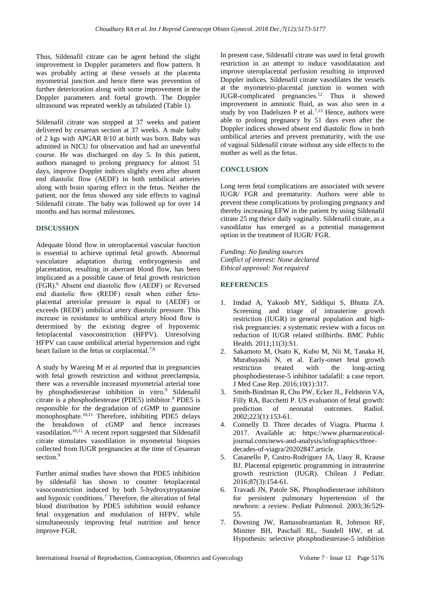Thus, Sildenafil citrate can be agent behind the slight improvement in Doppler parameters and flow pattern. It was probably acting at these vessels at the placenta myometrial junction and hence there was prevention of further deterioration along with some improvement in the Doppler parameters and foetal growth. The Doppler ultrasound was repeated weekly as tabulated (Table 1).

Sildenafil citrate was stopped at 37 weeks and patient delivered by cesarean section at 37 weeks. A male baby of 2 kgs with APGAR 8/10 at birth was born. Baby was admitted in NICU for observation and had an uneventful course. He was discharged on day 5. In this patient, authors managed to prolong pregnancy for almost 51 days, improve Doppler indices slightly even after absent end diastolic flow (AEDF) in both umbilical arteries along with brain sparing effect in the fetus. Neither the patient, nor the fetus showed any side effects to vaginal Sildenafil citrate. The baby was followed up for over 14 months and has normal milestones.

### **DISCUSSION**

Adequate blood flow in uteroplacental vascular function is essential to achieve optimal fetal growth. Abnormal vasculature adaptation during embryogenesis and placentation, resulting in aberrant blood flow, has been implicated as a possible cause of fetal growth restriction (FGR). <sup>6</sup> Absent end diastolic flow (AEDF) or Reversed end diastolic flow (REDF) result when either fetoplacental arteriolar pressure is equal to (AEDF) or exceeds (REDF) umbilical artery diastolic pressure. This increase in resistance to umbilical artery blood flow is determined by the existing degree of hypoxemic fetoplacental vasoconstriction (HFPV). Unresolving HFPV can cause umbilical arterial hypertension and right heart failure in the fetus or corplacental.<sup>7,8</sup>

A study by Wareing M et al reported that in pregnancies with fetal growth restriction and without preeclampsia, there was a reversible increased myometrial arterial tone by phosphodiesterase inhibition in vitro. <sup>9</sup> Sildenafil citrate is a phosphodiesterase (PDE5) inhibitor. <sup>9</sup> PDE5 is responsible for the degradation of cGMP to guanosine monophosphate.<sup>10,11</sup> Therefore, inhibiting PDE5 delays the breakdown of cGMP and hence increases vasodilation.<sup>10,11</sup> A recent report suggested that Sildenafil citrate stimulates vasodilation in myometrial biopsies collected from IUGR pregnancies at the time of Cesarean section.<sup>9</sup>

Further animal studies have shown that PDE5 inhibition by sildenafil has shown to counter fetoplacental vasoconstriction induced by both 5-hydroxytryptamine and hypoxic conditions. <sup>7</sup> Therefore, the alteration of fetal blood distribution by PDE5 inhibition would enhance fetal oxygenation and modulation of HFPV, while simultaneously improving fetal nutrition and hence improve FGR.

In present case, Sildenafil citrate was used in fetal growth restriction in an attempt to induce vasodilatation and improve uteroplacental perfusion resulting in improved Doppler indices. Sildenafil citrate vasodilates the vessels at the myometrio-placental junction in women with IUGR-complicated pregnancies. <sup>12</sup> Thus it showed improvement in amniotic fluid, as was also seen in a study by von Dadelszen P et al.<sup>7,13</sup> Hence, authors were able to prolong pregnancy by 51 days even after the Doppler indices showed absent end diastolic flow in both umbilical arteries and prevent prematurity, with the use of vaginal Sildenafil citrate without any side effects to the mother as well as the fetus.

## **CONCLUSION**

Long term fetal complications are associated with severe IUGR/ FGR and prematurity. Authors were able to prevent these complications by prolonging pregnancy and thereby increasing EFW in the patient by using Sildenafil citrate 25 mg thrice daily vaginally. Sildenafil citrate, as a vasodilator has emerged as a potential management option in the treatment of IUGR/ FGR.

*Funding: No funding sources Conflict of interest: None declared Ethical approval: Not required* 

### **REFERENCES**

- 1. Imdad A, Yakoob MY, Siddiqui S, Bhutta ZA. Screening and triage of intrauterine growth restriction (IUGR) in general population and highrisk pregnancies: a systematic review with a focus on reduction of IUGR related stillbirths. BMC Public Health. 2011;11(3):S1.
- 2. Sakamoto M, Osato K, Kubo M, Nii M, Tanaka H, Murabayashi N, et al. Early-onset fetal growth restriction treated with the long-acting phosphodiesterase-5 inhibitor tadalafil: a case report. J Med Case Rep. 2016;10(1):317.
- 3. Smith-Bindman R, Chu PW, Ecker JL, Feldstein VA, Filly RA, Bacchetti P. US evaluation of fetal growth: prediction of neonatal outcomes. Radiol. 2002;223(1):153-61.
- 4. Connelly D. Three decades of Viagra. Pharma J. 2017. Available at: https://www.pharmaceuticaljournal.com/news-and-analysis/infographics/threedecades-of-viagra/20202847.article.
- 5. Casanello P, Castro-Rodriguez JA, Uauy R, Krause BJ. Placental epigenetic programming in intrauterine growth restriction (IUGR). Chilean J Pediatr. 2016;87(3):154-61.
- 6. Travadi JN, Patole SK. Phosphodiesterase inhibitors for persistent pulmonary hypertension of the newborn: a review. Pediatr Pulmonol. 2003;36:529- 55.
- 7. Downing JW, Ramasubramanian R, Johnson RF, Minzter BH, Paschall RL, Sundell HW, et al. Hypothesis: selective phosphodiesterase-5 inhibition